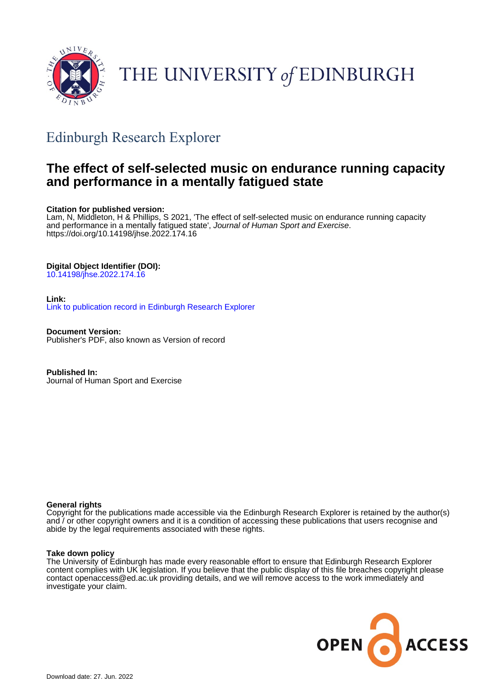

# THE UNIVERSITY of EDINBURGH

## Edinburgh Research Explorer

## **The effect of self-selected music on endurance running capacity and performance in a mentally fatigued state**

#### **Citation for published version:**

Lam, N, Middleton, H & Phillips, S 2021, 'The effect of self-selected music on endurance running capacity and performance in a mentally fatigued state', Journal of Human Sport and Exercise. <https://doi.org/10.14198/jhse.2022.174.16>

#### **Digital Object Identifier (DOI):**

[10.14198/jhse.2022.174.16](https://doi.org/10.14198/jhse.2022.174.16)

#### **Link:**

[Link to publication record in Edinburgh Research Explorer](https://www.research.ed.ac.uk/en/publications/e3c5b57a-d904-4cf7-a2cb-7ae338dee201)

**Document Version:** Publisher's PDF, also known as Version of record

**Published In:** Journal of Human Sport and Exercise

#### **General rights**

Copyright for the publications made accessible via the Edinburgh Research Explorer is retained by the author(s) and / or other copyright owners and it is a condition of accessing these publications that users recognise and abide by the legal requirements associated with these rights.

#### **Take down policy**

The University of Edinburgh has made every reasonable effort to ensure that Edinburgh Research Explorer content complies with UK legislation. If you believe that the public display of this file breaches copyright please contact openaccess@ed.ac.uk providing details, and we will remove access to the work immediately and investigate your claim.

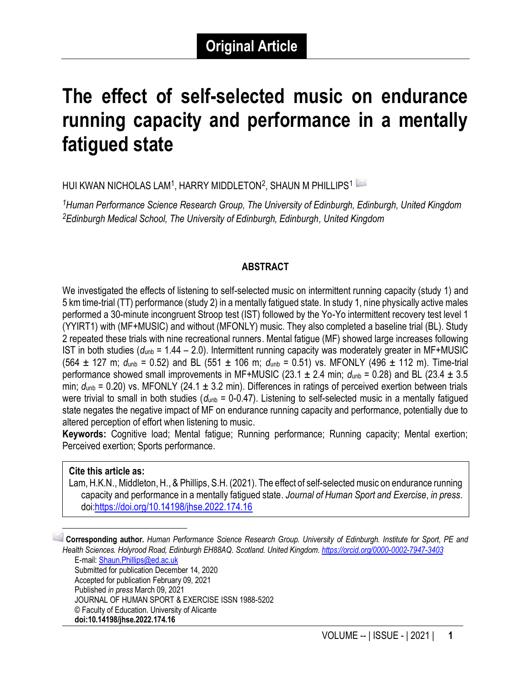## **The effect of self-selected music on endurance running capacity and performance in a mentally fatigued state**

HUI KWAN NICHOLAS LAM $^{\rm 1}$ , HARRY MIDDLETON $^{\rm 2}$ , SHAUN M PHILLIPS $^{\rm 1}$ 

*<sup>1</sup>Human Performance Science Research Group, The University of Edinburgh, Edinburgh, United Kingdom <sup>2</sup>Edinburgh Medical School, The University of Edinburgh, Edinburgh, United Kingdom*

#### **ABSTRACT**

We investigated the effects of listening to self-selected music on intermittent running capacity (study 1) and 5 km time-trial (TT) performance (study 2) in a mentally fatigued state. In study 1, nine physically active males performed a 30-minute incongruent Stroop test (IST) followed by the Yo-Yo intermittent recovery test level 1 (YYIRT1) with (MF+MUSIC) and without (MFONLY) music. They also completed a baseline trial (BL). Study 2 repeated these trials with nine recreational runners. Mental fatigue (MF) showed large increases following IST in both studies ( $d_{\text{unb}}$  = 1.44 – 2.0). Intermittent running capacity was moderately greater in MF+MUSIC (564 ± 127 m; *d*unb = 0.52) and BL (551 ± 106 m; *d*unb = 0.51) vs. MFONLY (496 ± 112 m). Time-trial performance showed small improvements in MF+MUSIC (23.1  $\pm$  2.4 min;  $d_{\text{unb}}$  = 0.28) and BL (23.4  $\pm$  3.5 min;  $d_{\text{unb}}$  = 0.20) vs. MFONLY (24.1  $\pm$  3.2 min). Differences in ratings of perceived exertion between trials were trivial to small in both studies ( $d_{\text{unb}}$  = 0-0.47). Listening to self-selected music in a mentally fatigued state negates the negative impact of MF on endurance running capacity and performance, potentially due to altered perception of effort when listening to music.

**Keywords:** Cognitive load; Mental fatigue; Running performance; Running capacity; Mental exertion; Perceived exertion; Sports performance.

#### **Cite this article as:**

Lam, H.K.N., Middleton, H., & Phillips, S.H. (2021). The effect of self-selected music on endurance running capacity and performance in a mentally fatigued state. *Journal of Human Sport and Exercise*, *in press*. doi[:https://doi.org/10.14198/jhse.2022.174.16](https://doi.org/10.14198/jhse.2022.174.16)

1 **Corresponding author.** *Human Performance Science Research Group. University of Edinburgh. Institute for Sport, PE and Health Sciences. Holyrood Road, Edinburgh EH88AQ. Scotland. United Kingdom.<https://orcid.org/0000-0002-7947-3403>* E-mail: [Shaun.Phillips@ed.ac.uk](mailto:Shaun.Phillips@ed.ac.uk)

Submitted for publication December 14, 2020 Accepted for publication February 09, 2021 Published *in press* March 09, 2021 JOURNAL OF HUMAN SPORT & EXERCISE ISSN 1988-5202 © Faculty of Education. University of Alicante **doi:10.14198/jhse.2022.174.16**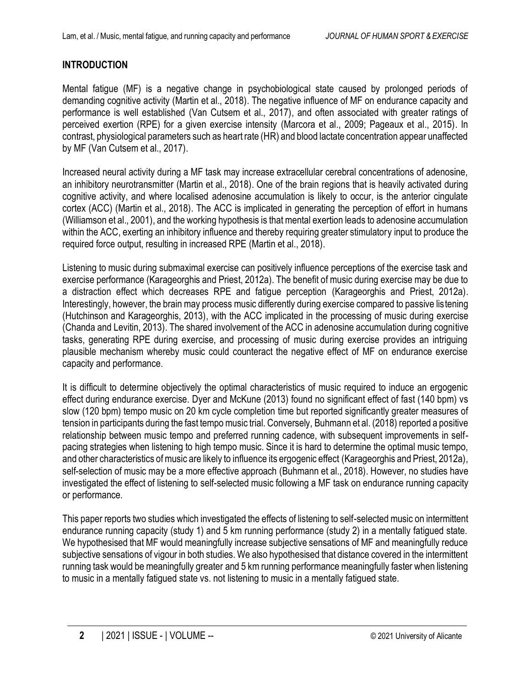### **INTRODUCTION**

Mental fatigue (MF) is a negative change in psychobiological state caused by prolonged periods of demanding cognitive activity (Martin et al., 2018). The negative influence of MF on endurance capacity and performance is well established (Van Cutsem et al., 2017), and often associated with greater ratings of perceived exertion (RPE) for a given exercise intensity (Marcora et al., 2009; Pageaux et al., 2015). In contrast, physiological parameters such as heart rate (HR) and blood lactate concentration appear unaffected by MF (Van Cutsem et al., 2017).

Increased neural activity during a MF task may increase extracellular cerebral concentrations of adenosine, an inhibitory neurotransmitter (Martin et al., 2018). One of the brain regions that is heavily activated during cognitive activity, and where localised adenosine accumulation is likely to occur, is the anterior cingulate cortex (ACC) (Martin et al., 2018). The ACC is implicated in generating the perception of effort in humans (Williamson et al., 2001), and the working hypothesis is that mental exertion leads to adenosine accumulation within the ACC, exerting an inhibitory influence and thereby requiring greater stimulatory input to produce the required force output, resulting in increased RPE (Martin et al., 2018).

Listening to music during submaximal exercise can positively influence perceptions of the exercise task and exercise performance (Karageorghis and Priest, 2012a). The benefit of music during exercise may be due to a distraction effect which decreases RPE and fatigue perception (Karageorghis and Priest, 2012a). Interestingly, however, the brain may process music differently during exercise compared to passive listening (Hutchinson and Karageorghis, 2013), with the ACC implicated in the processing of music during exercise (Chanda and Levitin, 2013). The shared involvement of the ACC in adenosine accumulation during cognitive tasks, generating RPE during exercise, and processing of music during exercise provides an intriguing plausible mechanism whereby music could counteract the negative effect of MF on endurance exercise capacity and performance.

It is difficult to determine objectively the optimal characteristics of music required to induce an ergogenic effect during endurance exercise. Dyer and McKune (2013) found no significant effect of fast (140 bpm) vs slow (120 bpm) tempo music on 20 km cycle completion time but reported significantly greater measures of tension in participants during the fast tempo music trial. Conversely, Buhmann et al. (2018) reported a positive relationship between music tempo and preferred running cadence, with subsequent improvements in selfpacing strategies when listening to high tempo music. Since it is hard to determine the optimal music tempo, and other characteristics of music are likely to influence its ergogenic effect (Karageorghis and Priest, 2012a), self-selection of music may be a more effective approach (Buhmann et al., 2018). However, no studies have investigated the effect of listening to self-selected music following a MF task on endurance running capacity or performance.

This paper reports two studies which investigated the effects of listening to self-selected music on intermittent endurance running capacity (study 1) and 5 km running performance (study 2) in a mentally fatigued state. We hypothesised that MF would meaningfully increase subjective sensations of MF and meaningfully reduce subjective sensations of vigour in both studies. We also hypothesised that distance covered in the intermittent running task would be meaningfully greater and 5 km running performance meaningfully faster when listening to music in a mentally fatigued state vs. not listening to music in a mentally fatigued state.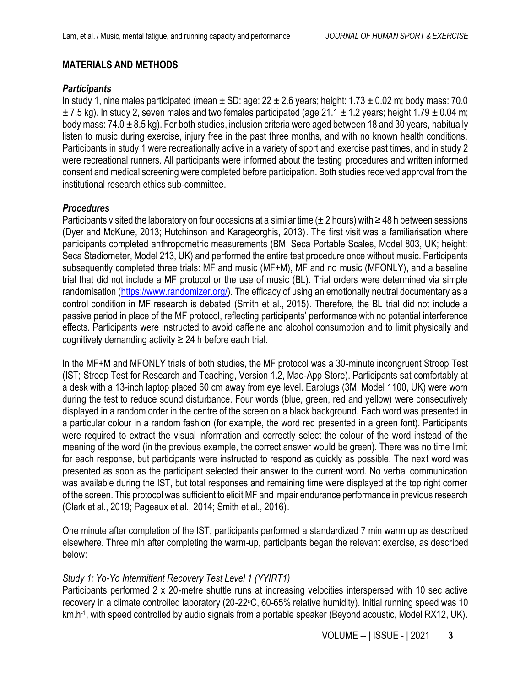### **MATERIALS AND METHODS**

#### *Participants*

In study 1, nine males participated (mean  $\pm$  SD: age: 22  $\pm$  2.6 years; height: 1.73  $\pm$  0.02 m; body mass: 70.0  $\pm$  7.5 kg). In study 2, seven males and two females participated (age 21.1  $\pm$  1.2 years; height 1.79  $\pm$  0.04 m; body mass: 74.0  $\pm$  8.5 kg). For both studies, inclusion criteria were aged between 18 and 30 years, habitually listen to music during exercise, injury free in the past three months, and with no known health conditions. Participants in study 1 were recreationally active in a variety of sport and exercise past times, and in study 2 were recreational runners. All participants were informed about the testing procedures and written informed consent and medical screening were completed before participation. Both studies received approval from the institutional research ethics sub-committee.

#### *Procedures*

Participants visited the laboratory on four occasions at a similar time ( $\pm$  2 hours) with  $\geq$  48 h between sessions (Dyer and McKune, 2013; Hutchinson and Karageorghis, 2013). The first visit was a familiarisation where participants completed anthropometric measurements (BM: Seca Portable Scales, Model 803, UK; height: Seca Stadiometer, Model 213, UK) and performed the entire test procedure once without music. Participants subsequently completed three trials: MF and music (MF+M), MF and no music (MFONLY), and a baseline trial that did not include a MF protocol or the use of music (BL). Trial orders were determined via simple randomisation [\(https://www.randomizer.org/\)](https://www.randomizer.org/). The efficacy of using an emotionally neutral documentary as a control condition in MF research is debated (Smith et al., 2015). Therefore, the BL trial did not include a passive period in place of the MF protocol, reflecting participants' performance with no potential interference effects. Participants were instructed to avoid caffeine and alcohol consumption and to limit physically and cognitively demanding activity  $\geq$  24 h before each trial.

In the MF+M and MFONLY trials of both studies, the MF protocol was a 30-minute incongruent Stroop Test (IST; Stroop Test for Research and Teaching, Version 1.2, Mac-App Store). Participants sat comfortably at a desk with a 13-inch laptop placed 60 cm away from eye level. Earplugs (3M, Model 1100, UK) were worn during the test to reduce sound disturbance. Four words (blue, green, red and yellow) were consecutively displayed in a random order in the centre of the screen on a black background. Each word was presented in a particular colour in a random fashion (for example, the word red presented in a green font). Participants were required to extract the visual information and correctly select the colour of the word instead of the meaning of the word (in the previous example, the correct answer would be green). There was no time limit for each response, but participants were instructed to respond as quickly as possible. The next word was presented as soon as the participant selected their answer to the current word. No verbal communication was available during the IST, but total responses and remaining time were displayed at the top right corner of the screen. This protocol was sufficient to elicit MF and impair endurance performance in previous research (Clark et al., 2019; Pageaux et al., 2014; Smith et al., 2016).

One minute after completion of the IST, participants performed a standardized 7 min warm up as described elsewhere. Three min after completing the warm-up, participants began the relevant exercise, as described below:

### *Study 1: Yo-Yo Intermittent Recovery Test Level 1 (YYIRT1)*

Participants performed 2 x 20-metre shuttle runs at increasing velocities interspersed with 10 sec active recovery in a climate controlled laboratory (20-22°C, 60-65% relative humidity). Initial running speed was 10 km.h-1, with speed controlled by audio signals from a portable speaker (Beyond acoustic, Model RX12, UK).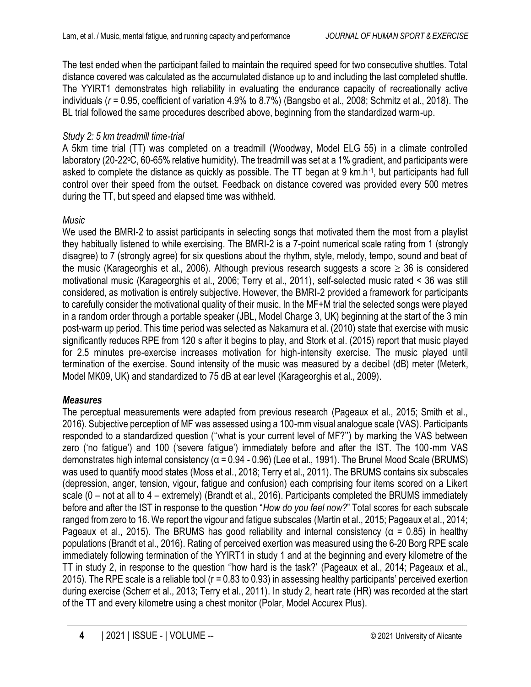The test ended when the participant failed to maintain the required speed for two consecutive shuttles. Total distance covered was calculated as the accumulated distance up to and including the last completed shuttle. The YYIRT1 demonstrates high reliability in evaluating the endurance capacity of recreationally active individuals (*r* = 0.95, coefficient of variation 4.9% to 8.7%) (Bangsbo et al., 2008; Schmitz et al., 2018). The BL trial followed the same procedures described above, beginning from the standardized warm-up.

## *Study 2: 5 km treadmill time-trial*

A 5km time trial (TT) was completed on a treadmill (Woodway, Model ELG 55) in a climate controlled laboratory (20-22°C, 60-65% relative humidity). The treadmill was set at a 1% gradient, and participants were asked to complete the distance as quickly as possible. The TT began at 9 km.h-1, but participants had full control over their speed from the outset. Feedback on distance covered was provided every 500 metres during the TT, but speed and elapsed time was withheld.

## *Music*

We used the BMRI-2 to assist participants in selecting songs that motivated them the most from a playlist they habitually listened to while exercising. The BMRI-2 is a 7-point numerical scale rating from 1 (strongly disagree) to 7 (strongly agree) for six questions about the rhythm, style, melody, tempo, sound and beat of the music (Karageorghis et al., 2006). Although previous research suggests a score  $\geq$  36 is considered motivational music (Karageorghis et al., 2006; Terry et al., 2011), self-selected music rated < 36 was still considered, as motivation is entirely subjective. However, the BMRI-2 provided a framework for participants to carefully consider the motivational quality of their music. In the MF+M trial the selected songs were played in a random order through a portable speaker (JBL, Model Charge 3, UK) beginning at the start of the 3 min post-warm up period. This time period was selected as Nakamura et al. (2010) state that exercise with music significantly reduces RPE from 120 s after it begins to play, and Stork et al. (2015) report that music played for 2.5 minutes pre-exercise increases motivation for high-intensity exercise. The music played until termination of the exercise. Sound intensity of the music was measured by a decibel (dB) meter (Meterk, Model MK09, UK) and standardized to 75 dB at ear level (Karageorghis et al., 2009).

## *Measures*

The perceptual measurements were adapted from previous research (Pageaux et al., 2015; Smith et al., 2016). Subjective perception of MF was assessed using a 100-mm visual analogue scale (VAS). Participants responded to a standardized question (''what is your current level of MF?'') by marking the VAS between zero ('no fatigue') and 100 ('severe fatigue') immediately before and after the IST. The 100-mm VAS demonstrates high internal consistency (α = 0.94 - 0.96) (Lee et al., 1991). The Brunel Mood Scale (BRUMS) was used to quantify mood states (Moss et al., 2018; Terry et al., 2011). The BRUMS contains six subscales (depression, anger, tension, vigour, fatigue and confusion) each comprising four items scored on a Likert scale (0 – not at all to 4 – extremely) (Brandt et al., 2016). Participants completed the BRUMS immediately before and after the IST in response to the question "*How do you feel now?*" Total scores for each subscale ranged from zero to 16. We report the vigour and fatigue subscales (Martin et al., 2015; Pageaux et al., 2014; Pageaux et al., 2015). The BRUMS has good reliability and internal consistency ( $\alpha$  = 0.85) in healthy populations (Brandt et al., 2016). Rating of perceived exertion was measured using the 6-20 Borg RPE scale immediately following termination of the YYIRT1 in study 1 and at the beginning and every kilometre of the TT in study 2, in response to the question ''how hard is the task?' (Pageaux et al., 2014; Pageaux et al., 2015). The RPE scale is a reliable tool (r = 0.83 to 0.93) in assessing healthy participants' perceived exertion during exercise (Scherr et al., 2013; Terry et al., 2011). In study 2, heart rate (HR) was recorded at the start of the TT and every kilometre using a chest monitor (Polar, Model Accurex Plus).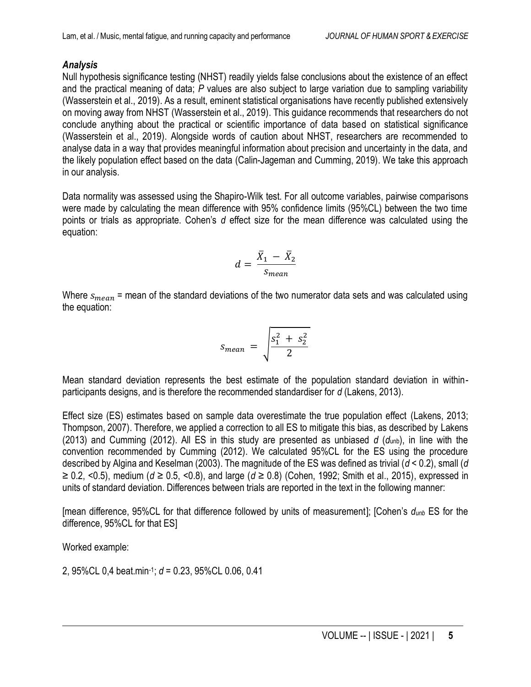#### *Analysis*

Null hypothesis significance testing (NHST) readily yields false conclusions about the existence of an effect and the practical meaning of data; *P* values are also subject to large variation due to sampling variability (Wasserstein et al., 2019). As a result, eminent statistical organisations have recently published extensively on moving away from NHST (Wasserstein et al., 2019). This guidance recommends that researchers do not conclude anything about the practical or scientific importance of data based on statistical significance (Wasserstein et al., 2019). Alongside words of caution about NHST, researchers are recommended to analyse data in a way that provides meaningful information about precision and uncertainty in the data, and the likely population effect based on the data (Calin-Jageman and Cumming, 2019). We take this approach in our analysis.

Data normality was assessed using the Shapiro-Wilk test. For all outcome variables, pairwise comparisons were made by calculating the mean difference with 95% confidence limits (95%CL) between the two time points or trials as appropriate. Cohen's *d* effect size for the mean difference was calculated using the equation:

$$
d = \frac{\bar{X}_1 - \bar{X}_2}{S_{mean}}
$$

Where  $s_{mean}$  = mean of the standard deviations of the two numerator data sets and was calculated using the equation:

$$
S_{mean} = \sqrt{\frac{s_1^2 + s_2^2}{2}}
$$

Mean standard deviation represents the best estimate of the population standard deviation in withinparticipants designs, and is therefore the recommended standardiser for *d* (Lakens, 2013).

Effect size (ES) estimates based on sample data overestimate the true population effect (Lakens, 2013; Thompson, 2007). Therefore, we applied a correction to all ES to mitigate this bias, as described by Lakens (2013) and Cumming (2012). All ES in this study are presented as unbiased *d* (*d*unb), in line with the convention recommended by Cumming (2012). We calculated 95%CL for the ES using the procedure described by Algina and Keselman (2003). The magnitude of the ES was defined as trivial (*d* < 0.2), small (*d* ≥ 0.2, <0.5), medium (*d* ≥ 0.5, <0.8), and large (*d* ≥ 0.8) (Cohen, 1992; Smith et al., 2015), expressed in units of standard deviation. Differences between trials are reported in the text in the following manner:

[mean difference, 95%CL for that difference followed by units of measurement]; [Cohen's *dunb* ES for the difference, 95%CL for that ES]

Worked example:

2, 95%CL 0,4 beat.min-1 ; *d* = 0.23, 95%CL 0.06, 0.41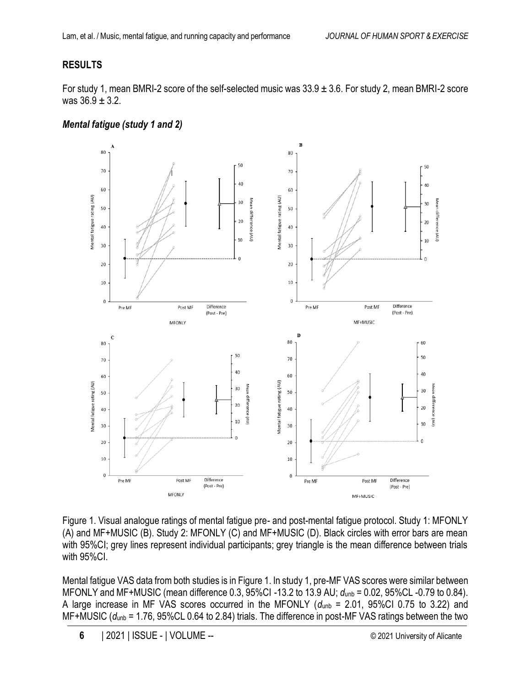## **RESULTS**

For study 1, mean BMRI-2 score of the self-selected music was  $33.9 \pm 3.6$ . For study 2, mean BMRI-2 score was  $36.9 \pm 3.2$ .





Figure 1. Visual analogue ratings of mental fatigue pre- and post-mental fatigue protocol. Study 1: MFONLY (A) and MF+MUSIC (B). Study 2: MFONLY (C) and MF+MUSIC (D). Black circles with error bars are mean with 95%CI; grey lines represent individual participants; grey triangle is the mean difference between trials with 95%CI.

Mental fatigue VAS data from both studies is in Figure 1. In study 1, pre-MF VAS scores were similar between MFONLY and MF+MUSIC (mean difference 0.3, 95%CI -13.2 to 13.9 AU; *d*unb = 0.02, 95%CL -0.79 to 0.84). A large increase in MF VAS scores occurred in the MFONLY  $(d_{\text{unb}} = 2.01, 95\%$ CI 0.75 to 3.22) and MF+MUSIC (*d*unb = 1.76, 95%CL 0.64 to 2.84) trials. The difference in post-MF VAS ratings between the two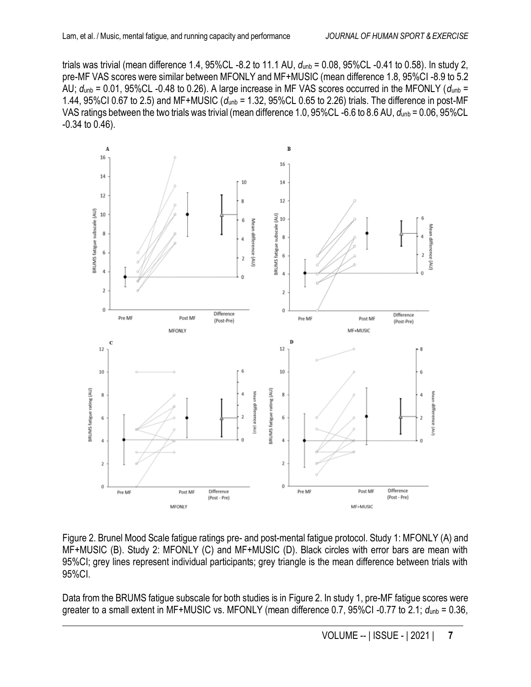trials was trivial (mean difference 1.4, 95%CL -8.2 to 11.1 AU, *d*unb = 0.08, 95%CL -0.41 to 0.58). In study 2, pre-MF VAS scores were similar between MFONLY and MF+MUSIC (mean difference 1.8, 95%CI -8.9 to 5.2 AU; *d*unb = 0.01, 95%CL -0.48 to 0.26). A large increase in MF VAS scores occurred in the MFONLY (*d*unb = 1.44, 95%CI 0.67 to 2.5) and MF+MUSIC (*d*unb = 1.32, 95%CL 0.65 to 2.26) trials. The difference in post-MF VAS ratings between the two trials was trivial (mean difference 1.0, 95%CL -6.6 to 8.6 AU, *d*unb = 0.06, 95%CL -0.34 to 0.46).



Figure 2. Brunel Mood Scale fatigue ratings pre- and post-mental fatigue protocol. Study 1: MFONLY (A) and MF+MUSIC (B). Study 2: MFONLY (C) and MF+MUSIC (D). Black circles with error bars are mean with 95%CI; grey lines represent individual participants; grey triangle is the mean difference between trials with 95%CI.

Data from the BRUMS fatigue subscale for both studies is in Figure 2. In study 1, pre-MF fatigue scores were greater to a small extent in MF+MUSIC vs. MFONLY (mean difference 0.7, 95%CI-0.77 to 2.1;  $d_{\text{unb}} = 0.36$ ,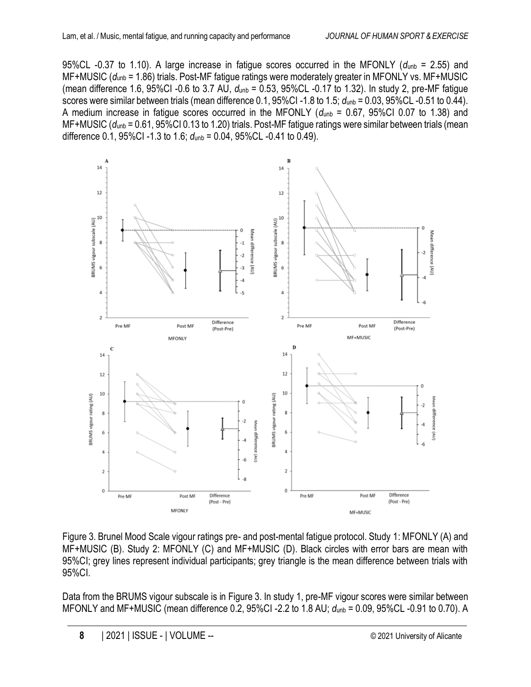95%CL -0.37 to 1.10). A large increase in fatigue scores occurred in the MFONLY (*d*unb = 2.55) and MF+MUSIC (*d*unb = 1.86) trials. Post-MF fatigue ratings were moderately greater in MFONLY vs. MF+MUSIC (mean difference 1.6, 95%CI -0.6 to 3.7 AU, *d*unb = 0.53, 95%CL -0.17 to 1.32). In study 2, pre-MF fatigue scores were similar between trials (mean difference 0.1, 95%CI -1.8 to 1.5; *d*unb = 0.03, 95%CL -0.51 to 0.44). A medium increase in fatigue scores occurred in the MFONLY ( $d_{\text{unb}}$  = 0.67, 95%CI 0.07 to 1.38) and MF+MUSIC (*d*unb = 0.61, 95%CI 0.13 to 1.20) trials. Post-MF fatigue ratings were similar between trials (mean difference 0.1, 95%CI -1.3 to 1.6; *d*unb = 0.04, 95%CL -0.41 to 0.49).



Figure 3. Brunel Mood Scale vigour ratings pre- and post-mental fatigue protocol. Study 1: MFONLY (A) and MF+MUSIC (B). Study 2: MFONLY (C) and MF+MUSIC (D). Black circles with error bars are mean with 95%CI; grey lines represent individual participants; grey triangle is the mean difference between trials with 95%CI.

Data from the BRUMS vigour subscale is in Figure 3. In study 1, pre-MF vigour scores were similar between MFONLY and MF+MUSIC (mean difference 0.2, 95%CI -2.2 to 1.8 AU; *d*unb = 0.09, 95%CL -0.91 to 0.70). A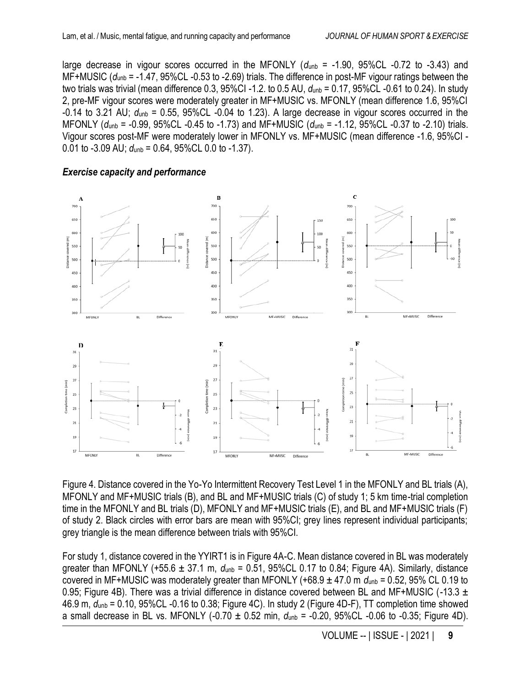large decrease in vigour scores occurred in the MFONLY ( $d_{\text{unb}} = -1.90$ , 95%CL -0.72 to -3.43) and MF+MUSIC (*d*unb = -1.47, 95%CL -0.53 to -2.69) trials. The difference in post-MF vigour ratings between the two trials was trivial (mean difference 0.3, 95%CI -1.2. to 0.5 AU, *d*unb = 0.17, 95%CL -0.61 to 0.24). In study 2, pre-MF vigour scores were moderately greater in MF+MUSIC vs. MFONLY (mean difference 1.6, 95%CI  $-0.14$  to 3.21 AU;  $d_{\text{unb}} = 0.55$ , 95%CL  $-0.04$  to 1.23). A large decrease in vigour scores occurred in the MFONLY (*d*unb = -0.99, 95%CL -0.45 to -1.73) and MF+MUSIC (*d*unb = -1.12, 95%CL -0.37 to -2.10) trials. Vigour scores post-MF were moderately lower in MFONLY vs. MF+MUSIC (mean difference -1.6, 95%CI - 0.01 to -3.09 AU;  $d_{\text{unb}} = 0.64$ , 95%CL 0.0 to -1.37).

#### *Exercise capacity and performance*



Figure 4. Distance covered in the Yo-Yo Intermittent Recovery Test Level 1 in the MFONLY and BL trials (A), MFONLY and MF+MUSIC trials (B), and BL and MF+MUSIC trials (C) of study 1; 5 km time-trial completion time in the MFONLY and BL trials (D), MFONLY and MF+MUSIC trials (E), and BL and MF+MUSIC trials (F) of study 2. Black circles with error bars are mean with 95%CI; grey lines represent individual participants; grey triangle is the mean difference between trials with 95%CI.

For study 1, distance covered in the YYIRT1 is in Figure 4A-C. Mean distance covered in BL was moderately greater than MFONLY (+55.6 ± 37.1 m, *d*unb = 0.51, 95%CL 0.17 to 0.84; Figure 4A). Similarly, distance covered in MF+MUSIC was moderately greater than MFONLY (+68.9  $\pm$  47.0 m  $d_{\text{unb}}$  = 0.52, 95% CL 0.19 to 0.95; Figure 4B). There was a trivial difference in distance covered between BL and MF+MUSIC (-13.3  $\pm$ 46.9 m, *d*unb = 0.10, 95%CL -0.16 to 0.38; Figure 4C). In study 2 (Figure 4D-F), TT completion time showed a small decrease in BL vs. MFONLY (-0.70 ± 0.52 min, *d*unb = -0.20, 95%CL -0.06 to -0.35; Figure 4D).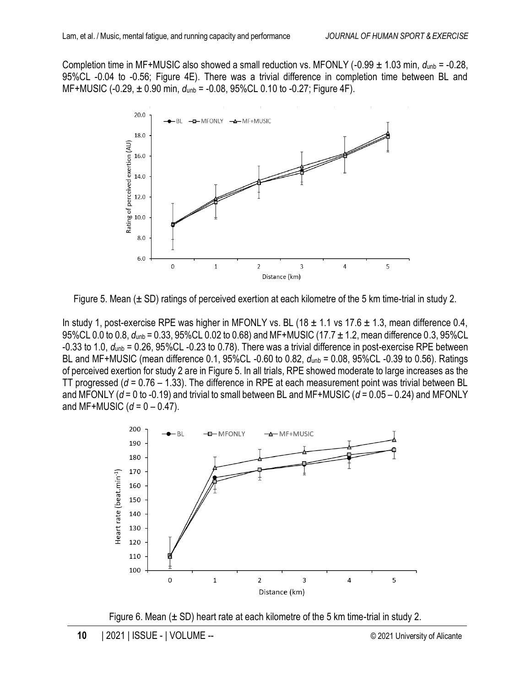Completion time in MF+MUSIC also showed a small reduction vs. MFONLY (-0.99  $\pm$  1.03 min,  $d_{\text{unb}}$  = -0.28, 95%CL -0.04 to -0.56; Figure 4E). There was a trivial difference in completion time between BL and MF+MUSIC (-0.29, ± 0.90 min, *d*unb = -0.08, 95%CL 0.10 to -0.27; Figure 4F).



Figure 5. Mean  $(\pm SD)$  ratings of perceived exertion at each kilometre of the 5 km time-trial in study 2.

In study 1, post-exercise RPE was higher in MFONLY vs. BL (18  $\pm$  1.1 vs 17.6  $\pm$  1.3, mean difference 0.4, 95%CL 0.0 to 0.8, *d*unb = 0.33, 95%CL 0.02 to 0.68) and MF+MUSIC (17.7 ± 1.2, mean difference 0.3, 95%CL -0.33 to 1.0, *d*unb = 0.26, 95%CL -0.23 to 0.78). There was a trivial difference in post-exercise RPE between BL and MF+MUSIC (mean difference 0.1, 95%CL -0.60 to 0.82, *d*unb = 0.08, 95%CL -0.39 to 0.56). Ratings of perceived exertion for study 2 are in Figure 5. In all trials, RPE showed moderate to large increases as the TT progressed (*d* = 0.76 – 1.33). The difference in RPE at each measurement point was trivial between BL and MFONLY (*d* = 0 to -0.19) and trivial to small between BL and MF+MUSIC (*d* = 0.05 – 0.24) and MFONLY and MF+MUSIC  $(d = 0 - 0.47)$ .



Figure 6. Mean  $(\pm SD)$  heart rate at each kilometre of the 5 km time-trial in study 2.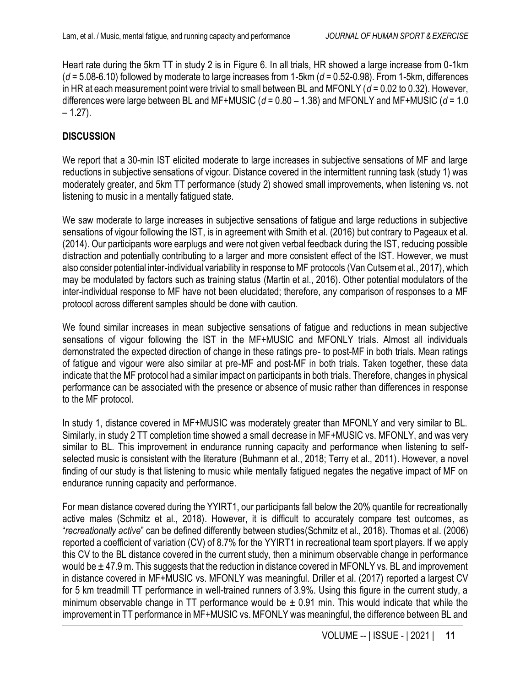Heart rate during the 5km TT in study 2 is in Figure 6. In all trials, HR showed a large increase from 0-1km (*d* = 5.08-6.10) followed by moderate to large increases from 1-5km (*d* = 0.52-0.98). From 1-5km, differences in HR at each measurement point were trivial to small between BL and MFONLY (*d* = 0.02 to 0.32). However, differences were large between BL and MF+MUSIC (*d* = 0.80 – 1.38) and MFONLY and MF+MUSIC (*d* = 1.0  $-1.27$ ).

## **DISCUSSION**

We report that a 30-min IST elicited moderate to large increases in subjective sensations of MF and large reductions in subjective sensations of vigour. Distance covered in the intermittent running task (study 1) was moderately greater, and 5km TT performance (study 2) showed small improvements, when listening vs. not listening to music in a mentally fatigued state.

We saw moderate to large increases in subjective sensations of fatigue and large reductions in subjective sensations of vigour following the IST, is in agreement with Smith et al. (2016) but contrary to Pageaux et al. (2014). Our participants wore earplugs and were not given verbal feedback during the IST, reducing possible distraction and potentially contributing to a larger and more consistent effect of the IST. However, we must also consider potential inter-individual variability in response to MF protocols (Van Cutsem et al., 2017), which may be modulated by factors such as training status (Martin et al., 2016). Other potential modulators of the inter-individual response to MF have not been elucidated; therefore, any comparison of responses to a MF protocol across different samples should be done with caution.

We found similar increases in mean subjective sensations of fatigue and reductions in mean subjective sensations of vigour following the IST in the MF+MUSIC and MFONLY trials. Almost all individuals demonstrated the expected direction of change in these ratings pre- to post-MF in both trials. Mean ratings of fatigue and vigour were also similar at pre-MF and post-MF in both trials. Taken together, these data indicate that the MF protocol had a similar impact on participants in both trials. Therefore, changes in physical performance can be associated with the presence or absence of music rather than differences in response to the MF protocol.

In study 1, distance covered in MF+MUSIC was moderately greater than MFONLY and very similar to BL. Similarly, in study 2 TT completion time showed a small decrease in MF+MUSIC vs. MFONLY, and was very similar to BL. This improvement in endurance running capacity and performance when listening to selfselected music is consistent with the literature (Buhmann et al., 2018; Terry et al., 2011). However, a novel finding of our study is that listening to music while mentally fatigued negates the negative impact of MF on endurance running capacity and performance.

For mean distance covered during the YYIRT1, our participants fall below the 20% quantile for recreationally active males (Schmitz et al., 2018). However, it is difficult to accurately compare test outcomes, as "*recreationally active*" can be defined differently between studies(Schmitz et al., 2018). Thomas et al. (2006) reported a coefficient of variation (CV) of 8.7% for the YYIRT1 in recreational team sport players. If we apply this CV to the BL distance covered in the current study, then a minimum observable change in performance would be  $\pm$  47.9 m. This suggests that the reduction in distance covered in MFONLY vs. BL and improvement in distance covered in MF+MUSIC vs. MFONLY was meaningful. Driller et al. (2017) reported a largest CV for 5 km treadmill TT performance in well-trained runners of 3.9%. Using this figure in the current study, a minimum observable change in TT performance would be  $\pm$  0.91 min. This would indicate that while the improvement in TT performance in MF+MUSIC vs. MFONLY was meaningful, the difference between BL and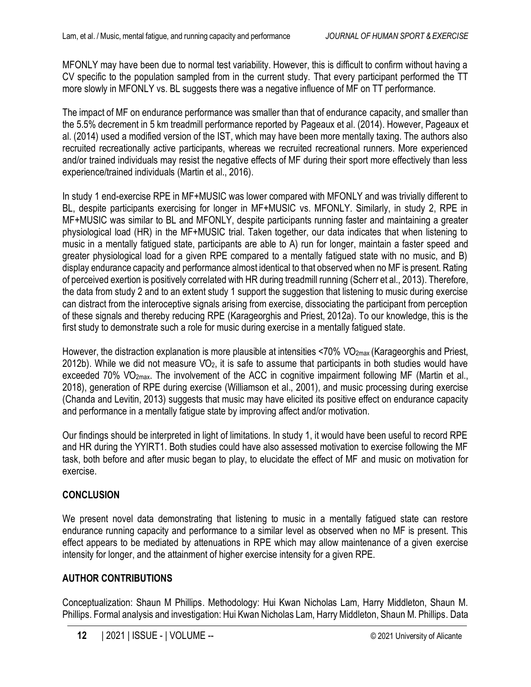MFONLY may have been due to normal test variability. However, this is difficult to confirm without having a CV specific to the population sampled from in the current study. That every participant performed the TT more slowly in MFONLY vs. BL suggests there was a negative influence of MF on TT performance.

The impact of MF on endurance performance was smaller than that of endurance capacity, and smaller than the 5.5% decrement in 5 km treadmill performance reported by Pageaux et al. (2014). However, Pageaux et al. (2014) used a modified version of the IST, which may have been more mentally taxing. The authors also recruited recreationally active participants, whereas we recruited recreational runners. More experienced and/or trained individuals may resist the negative effects of MF during their sport more effectively than less experience/trained individuals (Martin et al., 2016).

In study 1 end-exercise RPE in MF+MUSIC was lower compared with MFONLY and was trivially different to BL, despite participants exercising for longer in MF+MUSIC vs. MFONLY. Similarly, in study 2, RPE in MF+MUSIC was similar to BL and MFONLY, despite participants running faster and maintaining a greater physiological load (HR) in the MF+MUSIC trial. Taken together, our data indicates that when listening to music in a mentally fatigued state, participants are able to A) run for longer, maintain a faster speed and greater physiological load for a given RPE compared to a mentally fatigued state with no music, and B) display endurance capacity and performance almost identical to that observed when no MF is present. Rating of perceived exertion is positively correlated with HR during treadmill running (Scherr et al., 2013). Therefore, the data from study 2 and to an extent study 1 support the suggestion that listening to music during exercise can distract from the interoceptive signals arising from exercise, dissociating the participant from perception of these signals and thereby reducing RPE (Karageorghis and Priest, 2012a). To our knowledge, this is the first study to demonstrate such a role for music during exercise in a mentally fatigued state.

However, the distraction explanation is more plausible at intensities <70% VO<sub>2max</sub> (Karageorghis and Priest,  $2012$ b). While we did not measure  $VO<sub>2</sub>$ , it is safe to assume that participants in both studies would have exceeded 70% VO<sub>2max</sub>. The involvement of the ACC in cognitive impairment following MF (Martin et al., 2018), generation of RPE during exercise (Williamson et al., 2001), and music processing during exercise (Chanda and Levitin, 2013) suggests that music may have elicited its positive effect on endurance capacity and performance in a mentally fatigue state by improving affect and/or motivation.

Our findings should be interpreted in light of limitations. In study 1, it would have been useful to record RPE and HR during the YYIRT1. Both studies could have also assessed motivation to exercise following the MF task, both before and after music began to play, to elucidate the effect of MF and music on motivation for exercise.

#### **CONCLUSION**

We present novel data demonstrating that listening to music in a mentally fatigued state can restore endurance running capacity and performance to a similar level as observed when no MF is present. This effect appears to be mediated by attenuations in RPE which may allow maintenance of a given exercise intensity for longer, and the attainment of higher exercise intensity for a given RPE.

### **AUTHOR CONTRIBUTIONS**

Conceptualization: Shaun M Phillips. Methodology: Hui Kwan Nicholas Lam, Harry Middleton, Shaun M. Phillips. Formal analysis and investigation: Hui Kwan Nicholas Lam, Harry Middleton, Shaun M. Phillips. Data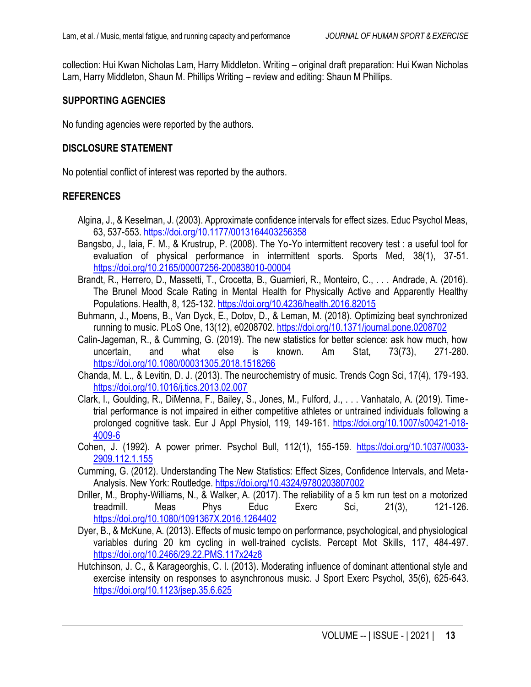collection: Hui Kwan Nicholas Lam, Harry Middleton. Writing – original draft preparation: Hui Kwan Nicholas Lam, Harry Middleton, Shaun M. Phillips Writing – review and editing: Shaun M Phillips.

#### **SUPPORTING AGENCIES**

No funding agencies were reported by the authors.

#### **DISCLOSURE STATEMENT**

No potential conflict of interest was reported by the authors.

#### **REFERENCES**

- Algina, J., & Keselman, J. (2003). Approximate confidence intervals for effect sizes. Educ Psychol Meas, 63, 537-553[. https://doi.org/10.1177/0013164403256358](https://doi.org/10.1177/0013164403256358)
- Bangsbo, J., Iaia, F. M., & Krustrup, P. (2008). The Yo-Yo intermittent recovery test : a useful tool for evaluation of physical performance in intermittent sports. Sports Med, 38(1), 37-51. <https://doi.org/10.2165/00007256-200838010-00004>
- Brandt, R., Herrero, D., Massetti, T., Crocetta, B., Guarnieri, R., Monteiro, C., . . . Andrade, A. (2016). The Brunel Mood Scale Rating in Mental Health for Physically Active and Apparently Healthy Populations. Health, 8, 125-132.<https://doi.org/10.4236/health.2016.82015>
- Buhmann, J., Moens, B., Van Dyck, E., Dotov, D., & Leman, M. (2018). Optimizing beat synchronized running to music. PLoS One, 13(12), e0208702.<https://doi.org/10.1371/journal.pone.0208702>
- Calin-Jageman, R., & Cumming, G. (2019). The new statistics for better science: ask how much, how uncertain, and what else is known. Am Stat, 73(73), 271-280. <https://doi.org/10.1080/00031305.2018.1518266>
- Chanda, M. L., & Levitin, D. J. (2013). The neurochemistry of music. Trends Cogn Sci, 17(4), 179-193. <https://doi.org/10.1016/j.tics.2013.02.007>
- Clark, I., Goulding, R., DiMenna, F., Bailey, S., Jones, M., Fulford, J., . . . Vanhatalo, A. (2019). Timetrial performance is not impaired in either competitive athletes or untrained individuals following a prolonged cognitive task. Eur J Appl Physiol, 119, 149-161. [https://doi.org/10.1007/s00421-018-](https://doi.org/10.1007/s00421-018-4009-6) [4009-6](https://doi.org/10.1007/s00421-018-4009-6)
- Cohen, J. (1992). A power primer. Psychol Bull, 112(1), 155-159. [https://doi.org/10.1037//0033-](https://doi.org/10.1037/0033-2909.112.1.155) [2909.112.1.155](https://doi.org/10.1037/0033-2909.112.1.155)
- Cumming, G. (2012). Understanding The New Statistics: Effect Sizes, Confidence Intervals, and Meta-Analysis. New York: Routledge.<https://doi.org/10.4324/9780203807002>
- Driller, M., Brophy-Williams, N., & Walker, A. (2017). The reliability of a 5 km run test on a motorized treadmill. Meas Phys Educ Exerc Sci, 21(3), 121-126. <https://doi.org/10.1080/1091367X.2016.1264402>
- Dyer, B., & McKune, A. (2013). Effects of music tempo on performance, psychological, and physiological variables during 20 km cycling in well-trained cyclists. Percept Mot Skills, 117, 484-497. <https://doi.org/10.2466/29.22.PMS.117x24z8>
- Hutchinson, J. C., & Karageorghis, C. I. (2013). Moderating influence of dominant attentional style and exercise intensity on responses to asynchronous music. J Sport Exerc Psychol, 35(6), 625-643. <https://doi.org/10.1123/jsep.35.6.625>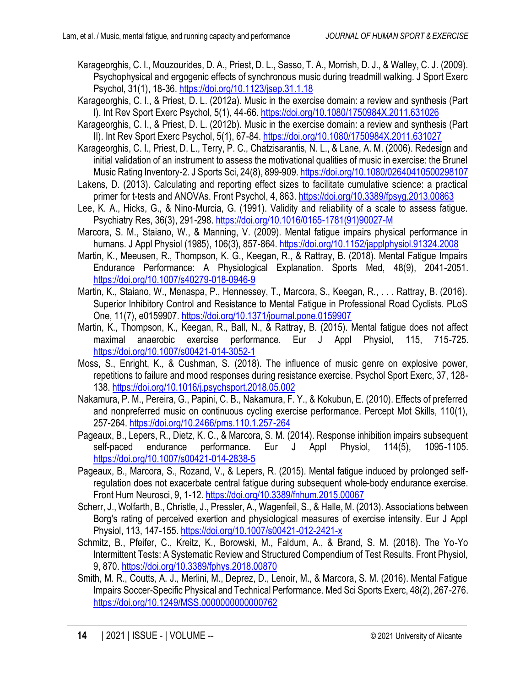- Karageorghis, C. I., Mouzourides, D. A., Priest, D. L., Sasso, T. A., Morrish, D. J., & Walley, C. J. (2009). Psychophysical and ergogenic effects of synchronous music during treadmill walking. J Sport Exerc Psychol, 31(1), 18-36[. https://doi.org/10.1123/jsep.31.1.18](https://doi.org/10.1123/jsep.31.1.18)
- Karageorghis, C. I., & Priest, D. L. (2012a). Music in the exercise domain: a review and synthesis (Part I). Int Rev Sport Exerc Psychol, 5(1), 44-66.<https://doi.org/10.1080/1750984X.2011.631026>
- Karageorghis, C. I., & Priest, D. L. (2012b). Music in the exercise domain: a review and synthesis (Part II). Int Rev Sport Exerc Psychol, 5(1), 67-84[. https://doi.org/10.1080/1750984X.2011.631027](https://doi.org/10.1080/1750984X.2011.631027)
- Karageorghis, C. I., Priest, D. L., Terry, P. C., Chatzisarantis, N. L., & Lane, A. M. (2006). Redesign and initial validation of an instrument to assess the motivational qualities of music in exercise: the Brunel Music Rating Inventory-2. J Sports Sci, 24(8), 899-909[. https://doi.org/10.1080/02640410500298107](https://doi.org/10.1080/02640410500298107)
- Lakens, D. (2013). Calculating and reporting effect sizes to facilitate cumulative science: a practical primer for t-tests and ANOVAs. Front Psychol, 4, 863.<https://doi.org/10.3389/fpsyg.2013.00863>
- Lee, K. A., Hicks, G., & Nino-Murcia, G. (1991). Validity and reliability of a scale to assess fatigue. Psychiatry Res, 36(3), 291-298. [https://doi.org/10.1016/0165-1781\(91\)90027-M](https://doi.org/10.1016/0165-1781(91)90027-M)
- Marcora, S. M., Staiano, W., & Manning, V. (2009). Mental fatigue impairs physical performance in humans. J Appl Physiol (1985), 106(3), 857-864.<https://doi.org/10.1152/japplphysiol.91324.2008>
- Martin, K., Meeusen, R., Thompson, K. G., Keegan, R., & Rattray, B. (2018). Mental Fatigue Impairs Endurance Performance: A Physiological Explanation. Sports Med, 48(9), 2041-2051. <https://doi.org/10.1007/s40279-018-0946-9>
- Martin, K., Staiano, W., Menaspa, P., Hennessey, T., Marcora, S., Keegan, R., . . . Rattray, B. (2016). Superior Inhibitory Control and Resistance to Mental Fatigue in Professional Road Cyclists. PLoS One, 11(7), e0159907.<https://doi.org/10.1371/journal.pone.0159907>
- Martin, K., Thompson, K., Keegan, R., Ball, N., & Rattray, B. (2015). Mental fatigue does not affect maximal anaerobic exercise performance. Eur J Appl Physiol, 115, 715-725. <https://doi.org/10.1007/s00421-014-3052-1>
- Moss, S., Enright, K., & Cushman, S. (2018). The influence of music genre on explosive power, repetitions to failure and mood responses during resistance exercise. Psychol Sport Exerc, 37, 128- 138[. https://doi.org/10.1016/j.psychsport.2018.05.002](https://doi.org/10.1016/j.psychsport.2018.05.002)
- Nakamura, P. M., Pereira, G., Papini, C. B., Nakamura, F. Y., & Kokubun, E. (2010). Effects of preferred and nonpreferred music on continuous cycling exercise performance. Percept Mot Skills, 110(1), 257-264.<https://doi.org/10.2466/pms.110.1.257-264>
- Pageaux, B., Lepers, R., Dietz, K. C., & Marcora, S. M. (2014). Response inhibition impairs subsequent self-paced endurance performance. Eur J Appl Physiol, 114(5), 1095-1105. <https://doi.org/10.1007/s00421-014-2838-5>
- Pageaux, B., Marcora, S., Rozand, V., & Lepers, R. (2015). Mental fatigue induced by prolonged selfregulation does not exacerbate central fatigue during subsequent whole-body endurance exercise. Front Hum Neurosci, 9, 1-12.<https://doi.org/10.3389/fnhum.2015.00067>
- Scherr, J., Wolfarth, B., Christle, J., Pressler, A., Wagenfeil, S., & Halle, M. (2013). Associations between Borg's rating of perceived exertion and physiological measures of exercise intensity. Eur J Appl Physiol, 113, 147-155[. https://doi.org/10.1007/s00421-012-2421-x](https://doi.org/10.1007/s00421-012-2421-x)
- Schmitz, B., Pfeifer, C., Kreitz, K., Borowski, M., Faldum, A., & Brand, S. M. (2018). The Yo-Yo Intermittent Tests: A Systematic Review and Structured Compendium of Test Results. Front Physiol, 9, 870.<https://doi.org/10.3389/fphys.2018.00870>
- Smith, M. R., Coutts, A. J., Merlini, M., Deprez, D., Lenoir, M., & Marcora, S. M. (2016). Mental Fatigue Impairs Soccer-Specific Physical and Technical Performance. Med Sci Sports Exerc, 48(2), 267-276. <https://doi.org/10.1249/MSS.0000000000000762>